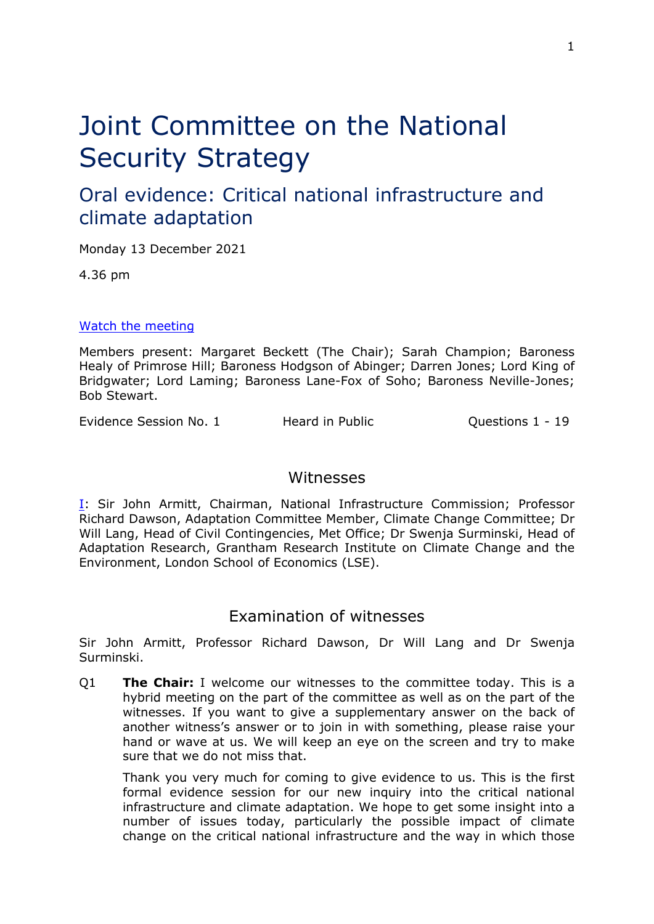# Joint Committee on the National Security Strategy

# Oral evidence: Critical national infrastructure and climate adaptation

Monday 13 December 2021

4.36 pm

### [Watch](https://parliamentlive.tv/Event/Index/fd3cf6a2-67f9-4527-a703-584fc60af269) [the](https://parliamentlive.tv/Event/Index/fd3cf6a2-67f9-4527-a703-584fc60af269) [meeting](https://parliamentlive.tv/Event/Index/fd3cf6a2-67f9-4527-a703-584fc60af269)

Members present: Margaret Beckett (The Chair); Sarah Champion; Baroness Healy of Primrose Hill; Baroness Hodgson of Abinger; Darren Jones; Lord King of Bridgwater; Lord Laming; Baroness Lane-Fox of Soho; Baroness Neville-Jones; Bob Stewart.

Evidence Session No. 1 Theard in Public Contractions 1 - 19

# Witnesses

[I:](#page-0-0) Sir John Armitt, Chairman, National Infrastructure Commission; Professor Richard Dawson, Adaptation Committee Member, Climate Change Committee; Dr Will Lang, Head of Civil Contingencies, Met Office; Dr Swenja Surminski, Head of Adaptation Research, Grantham Research Institute on Climate Change and the Environment, London School of Economics (LSE).

# <span id="page-0-0"></span>Examination of witnesses

Sir John Armitt, Professor Richard Dawson, Dr Will Lang and Dr Swenja Surminski.

Q1 **The Chair:** I welcome our witnesses to the committee today. This is a hybrid meeting on the part of the committee as well as on the part of the witnesses. If you want to give a supplementary answer on the back of another witness's answer or to join in with something, please raise your hand or wave at us. We will keep an eye on the screen and try to make sure that we do not miss that.

Thank you very much for coming to give evidence to us. This is the first formal evidence session for our new inquiry into the critical national infrastructure and climate adaptation. We hope to get some insight into a number of issues today, particularly the possible impact of climate change on the critical national infrastructure and the way in which those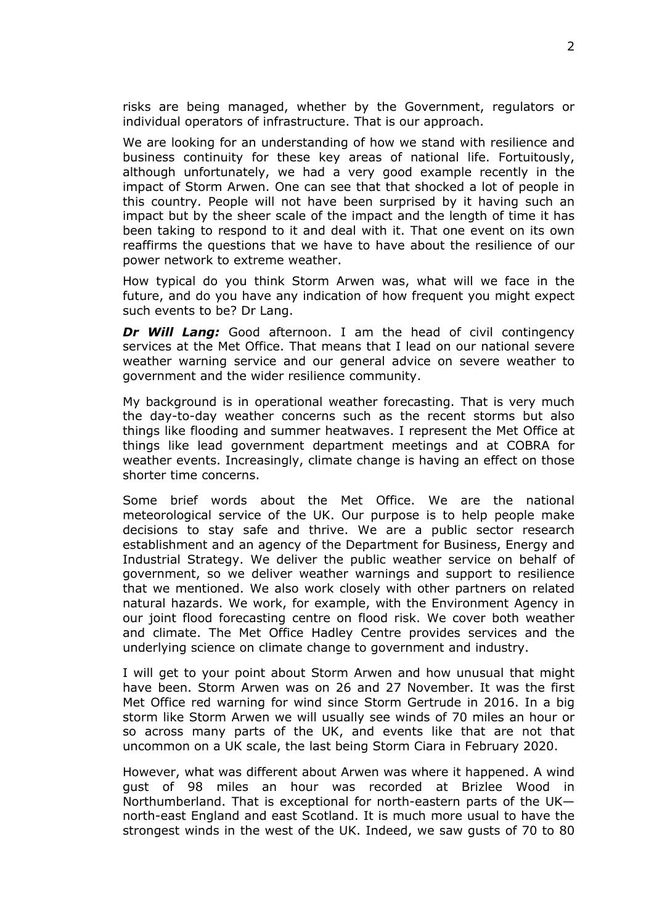risks are being managed, whether by the Government, regulators or individual operators of infrastructure. That is our approach.

We are looking for an understanding of how we stand with resilience and business continuity for these key areas of national life. Fortuitously, although unfortunately, we had a very good example recently in the impact of Storm Arwen. One can see that that shocked a lot of people in this country. People will not have been surprised by it having such an impact but by the sheer scale of the impact and the length of time it has been taking to respond to it and deal with it. That one event on its own reaffirms the questions that we have to have about the resilience of our power network to extreme weather.

How typical do you think Storm Arwen was, what will we face in the future, and do you have any indication of how frequent you might expect such events to be? Dr Lang.

*Dr Will Lang:* Good afternoon. I am the head of civil contingency services at the Met Office. That means that I lead on our national severe weather warning service and our general advice on severe weather to government and the wider resilience community.

My background is in operational weather forecasting. That is very much the day-to-day weather concerns such as the recent storms but also things like flooding and summer heatwaves. I represent the Met Office at things like lead government department meetings and at COBRA for weather events. Increasingly, climate change is having an effect on those shorter time concerns.

Some brief words about the Met Office. We are the national meteorological service of the UK. Our purpose is to help people make decisions to stay safe and thrive. We are a public sector research establishment and an agency of the Department for Business, Energy and Industrial Strategy. We deliver the public weather service on behalf of government, so we deliver weather warnings and support to resilience that we mentioned. We also work closely with other partners on related natural hazards. We work, for example, with the Environment Agency in our joint flood forecasting centre on flood risk. We cover both weather and climate. The Met Office Hadley Centre provides services and the underlying science on climate change to government and industry.

I will get to your point about Storm Arwen and how unusual that might have been. Storm Arwen was on 26 and 27 November. It was the first Met Office red warning for wind since Storm Gertrude in 2016. In a big storm like Storm Arwen we will usually see winds of 70 miles an hour or so across many parts of the UK, and events like that are not that uncommon on a UK scale, the last being Storm Ciara in February 2020.

However, what was different about Arwen was where it happened. A wind gust of 98 miles an hour was recorded at Brizlee Wood in Northumberland. That is exceptional for north-eastern parts of the UK north-east England and east Scotland. It is much more usual to have the strongest winds in the west of the UK. Indeed, we saw gusts of 70 to 80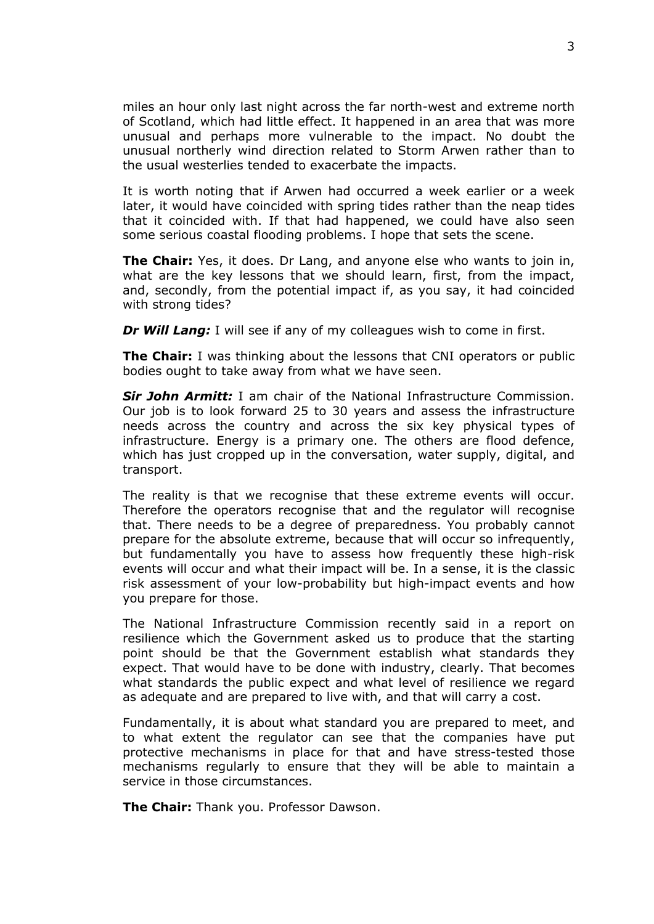miles an hour only last night across the far north-west and extreme north of Scotland, which had little effect. It happened in an area that was more unusual and perhaps more vulnerable to the impact. No doubt the unusual northerly wind direction related to Storm Arwen rather than to the usual westerlies tended to exacerbate the impacts.

It is worth noting that if Arwen had occurred a week earlier or a week later, it would have coincided with spring tides rather than the neap tides that it coincided with. If that had happened, we could have also seen some serious coastal flooding problems. I hope that sets the scene.

**The Chair:** Yes, it does. Dr Lang, and anyone else who wants to join in, what are the key lessons that we should learn, first, from the impact, and, secondly, from the potential impact if, as you say, it had coincided with strong tides?

*Dr Will Lang:* I will see if any of my colleagues wish to come in first.

**The Chair:** I was thinking about the lessons that CNI operators or public bodies ought to take away from what we have seen.

*Sir John Armitt:* I am chair of the National Infrastructure Commission. Our job is to look forward 25 to 30 years and assess the infrastructure needs across the country and across the six key physical types of infrastructure. Energy is a primary one. The others are flood defence, which has just cropped up in the conversation, water supply, digital, and transport.

The reality is that we recognise that these extreme events will occur. Therefore the operators recognise that and the regulator will recognise that. There needs to be a degree of preparedness. You probably cannot prepare for the absolute extreme, because that will occur so infrequently, but fundamentally you have to assess how frequently these high-risk events will occur and what their impact will be. In a sense, it is the classic risk assessment of your low-probability but high-impact events and how you prepare for those.

The National Infrastructure Commission recently said in a report on resilience which the Government asked us to produce that the starting point should be that the Government establish what standards they expect. That would have to be done with industry, clearly. That becomes what standards the public expect and what level of resilience we regard as adequate and are prepared to live with, and that will carry a cost.

Fundamentally, it is about what standard you are prepared to meet, and to what extent the regulator can see that the companies have put protective mechanisms in place for that and have stress-tested those mechanisms regularly to ensure that they will be able to maintain a service in those circumstances.

**The Chair:** Thank you. Professor Dawson.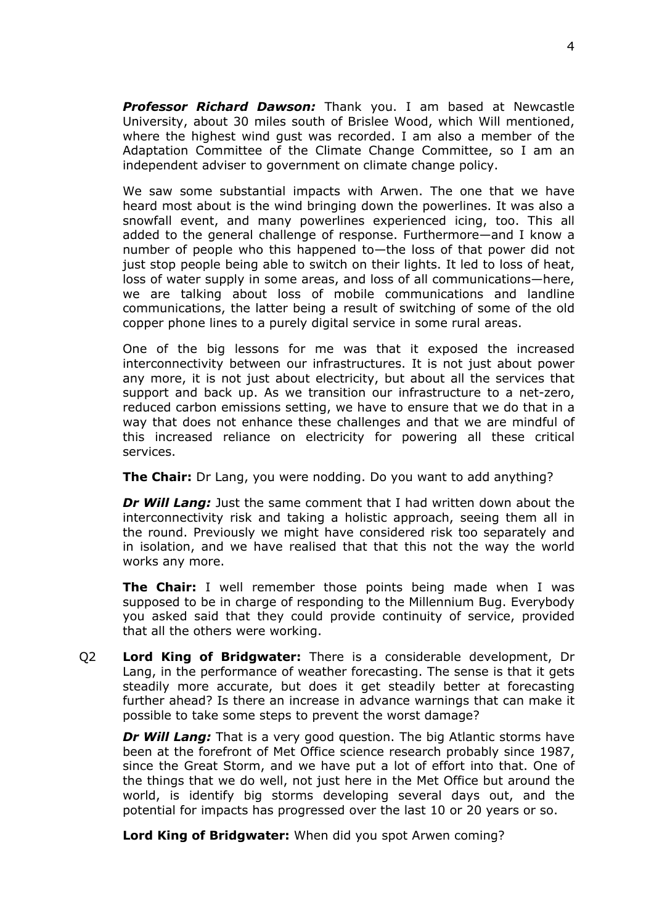*Professor Richard Dawson:* Thank you. I am based at Newcastle University, about 30 miles south of Brislee Wood, which Will mentioned, where the highest wind gust was recorded. I am also a member of the Adaptation Committee of the Climate Change Committee, so I am an independent adviser to government on climate change policy.

We saw some substantial impacts with Arwen. The one that we have heard most about is the wind bringing down the powerlines. It was also a snowfall event, and many powerlines experienced icing, too. This all added to the general challenge of response. Furthermore—and I know a number of people who this happened to—the loss of that power did not just stop people being able to switch on their lights. It led to loss of heat, loss of water supply in some areas, and loss of all communications—here, we are talking about loss of mobile communications and landline communications, the latter being a result of switching of some of the old copper phone lines to a purely digital service in some rural areas.

One of the big lessons for me was that it exposed the increased interconnectivity between our infrastructures. It is not just about power any more, it is not just about electricity, but about all the services that support and back up. As we transition our infrastructure to a net-zero, reduced carbon emissions setting, we have to ensure that we do that in a way that does not enhance these challenges and that we are mindful of this increased reliance on electricity for powering all these critical services.

**The Chair:** Dr Lang, you were nodding. Do you want to add anything?

*Dr Will Lang:* Just the same comment that I had written down about the interconnectivity risk and taking a holistic approach, seeing them all in the round. Previously we might have considered risk too separately and in isolation, and we have realised that that this not the way the world works any more.

**The Chair:** I well remember those points being made when I was supposed to be in charge of responding to the Millennium Bug. Everybody you asked said that they could provide continuity of service, provided that all the others were working.

Q2 **Lord King of Bridgwater:** There is a considerable development, Dr Lang, in the performance of weather forecasting. The sense is that it gets steadily more accurate, but does it get steadily better at forecasting further ahead? Is there an increase in advance warnings that can make it possible to take some steps to prevent the worst damage?

*Dr Will Lang:* That is a very good question. The big Atlantic storms have been at the forefront of Met Office science research probably since 1987, since the Great Storm, and we have put a lot of effort into that. One of the things that we do well, not just here in the Met Office but around the world, is identify big storms developing several days out, and the potential for impacts has progressed over the last 10 or 20 years or so.

**Lord King of Bridgwater:** When did you spot Arwen coming?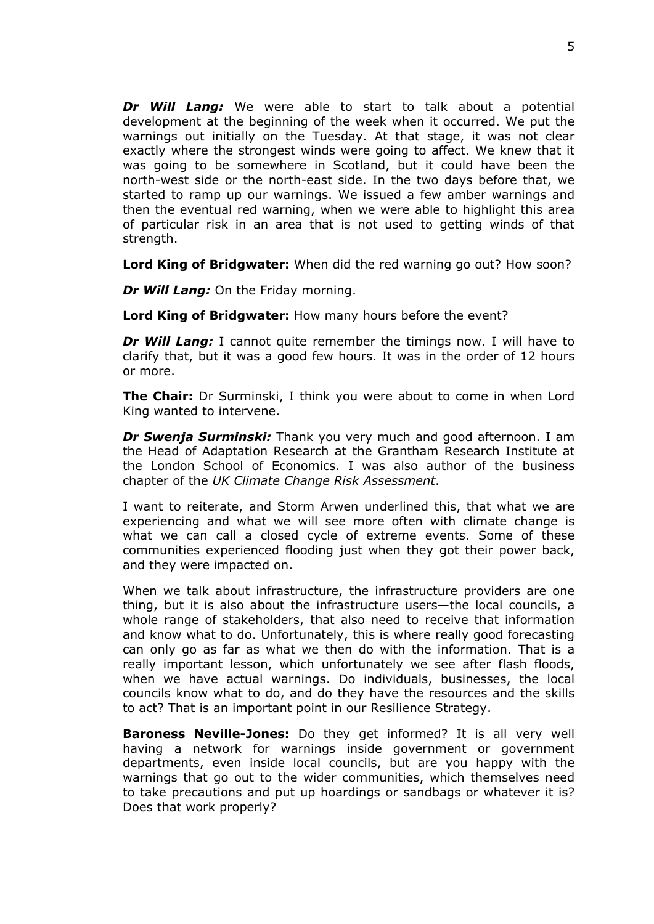*Dr Will Lang:* We were able to start to talk about a potential development at the beginning of the week when it occurred. We put the warnings out initially on the Tuesday. At that stage, it was not clear exactly where the strongest winds were going to affect. We knew that it was going to be somewhere in Scotland, but it could have been the north-west side or the north-east side. In the two days before that, we started to ramp up our warnings. We issued a few amber warnings and then the eventual red warning, when we were able to highlight this area of particular risk in an area that is not used to getting winds of that strength.

**Lord King of Bridgwater:** When did the red warning go out? How soon?

*Dr Will Lang:* On the Friday morning.

**Lord King of Bridgwater:** How many hours before the event?

*Dr Will Lang:* I cannot quite remember the timings now. I will have to clarify that, but it was a good few hours. It was in the order of 12 hours or more.

**The Chair:** Dr Surminski, I think you were about to come in when Lord King wanted to intervene.

*Dr Swenja Surminski:* Thank you very much and good afternoon. I am the Head of Adaptation Research at the Grantham Research Institute at the London School of Economics. I was also author of the business chapter of the *UK Climate Change Risk Assessment*.

I want to reiterate, and Storm Arwen underlined this, that what we are experiencing and what we will see more often with climate change is what we can call a closed cycle of extreme events. Some of these communities experienced flooding just when they got their power back, and they were impacted on.

When we talk about infrastructure, the infrastructure providers are one thing, but it is also about the infrastructure users—the local councils, a whole range of stakeholders, that also need to receive that information and know what to do. Unfortunately, this is where really good forecasting can only go as far as what we then do with the information. That is a really important lesson, which unfortunately we see after flash floods, when we have actual warnings. Do individuals, businesses, the local councils know what to do, and do they have the resources and the skills to act? That is an important point in our Resilience Strategy.

**Baroness Neville-Jones:** Do they get informed? It is all very well having a network for warnings inside government or government departments, even inside local councils, but are you happy with the warnings that go out to the wider communities, which themselves need to take precautions and put up hoardings or sandbags or whatever it is? Does that work properly?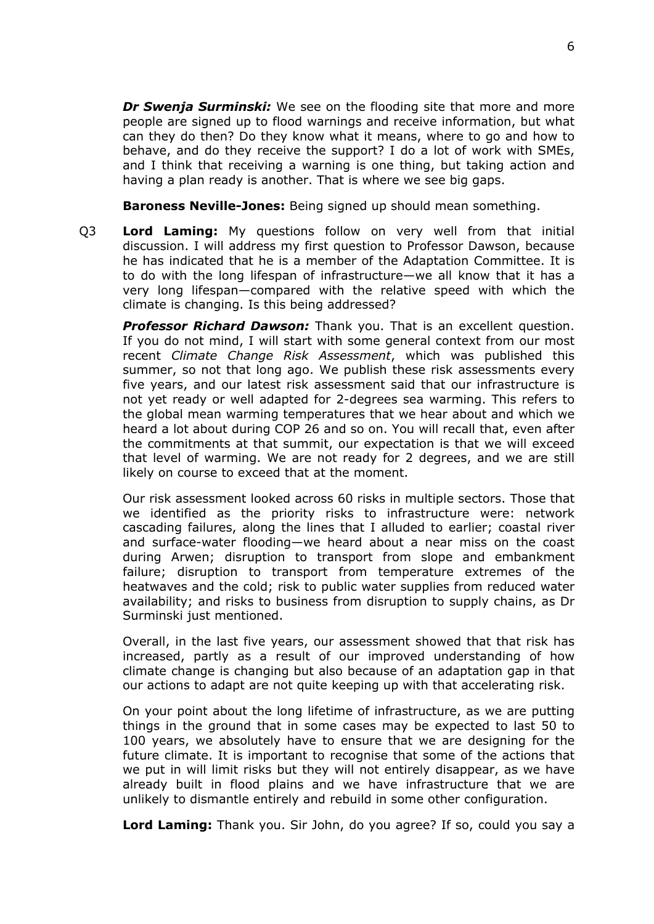*Dr Swenja Surminski:* We see on the flooding site that more and more people are signed up to flood warnings and receive information, but what can they do then? Do they know what it means, where to go and how to behave, and do they receive the support? I do a lot of work with SMEs, and I think that receiving a warning is one thing, but taking action and having a plan ready is another. That is where we see big gaps.

**Baroness Neville-Jones:** Being signed up should mean something.

Q3 **Lord Laming:** My questions follow on very well from that initial discussion. I will address my first question to Professor Dawson, because he has indicated that he is a member of the Adaptation Committee. It is to do with the long lifespan of infrastructure—we all know that it has a very long lifespan—compared with the relative speed with which the climate is changing. Is this being addressed?

*Professor Richard Dawson:* Thank you. That is an excellent question. If you do not mind, I will start with some general context from our most recent *Climate Change Risk Assessment*, which was published this summer, so not that long ago. We publish these risk assessments every five years, and our latest risk assessment said that our infrastructure is not yet ready or well adapted for 2-degrees sea warming. This refers to the global mean warming temperatures that we hear about and which we heard a lot about during COP 26 and so on. You will recall that, even after the commitments at that summit, our expectation is that we will exceed that level of warming. We are not ready for 2 degrees, and we are still likely on course to exceed that at the moment.

Our risk assessment looked across 60 risks in multiple sectors. Those that we identified as the priority risks to infrastructure were: network cascading failures, along the lines that I alluded to earlier; coastal river and surface-water flooding—we heard about a near miss on the coast during Arwen; disruption to transport from slope and embankment failure; disruption to transport from temperature extremes of the heatwaves and the cold; risk to public water supplies from reduced water availability; and risks to business from disruption to supply chains, as Dr Surminski just mentioned.

Overall, in the last five years, our assessment showed that that risk has increased, partly as a result of our improved understanding of how climate change is changing but also because of an adaptation gap in that our actions to adapt are not quite keeping up with that accelerating risk.

On your point about the long lifetime of infrastructure, as we are putting things in the ground that in some cases may be expected to last 50 to 100 years, we absolutely have to ensure that we are designing for the future climate. It is important to recognise that some of the actions that we put in will limit risks but they will not entirely disappear, as we have already built in flood plains and we have infrastructure that we are unlikely to dismantle entirely and rebuild in some other configuration.

**Lord Laming:** Thank you. Sir John, do you agree? If so, could you say a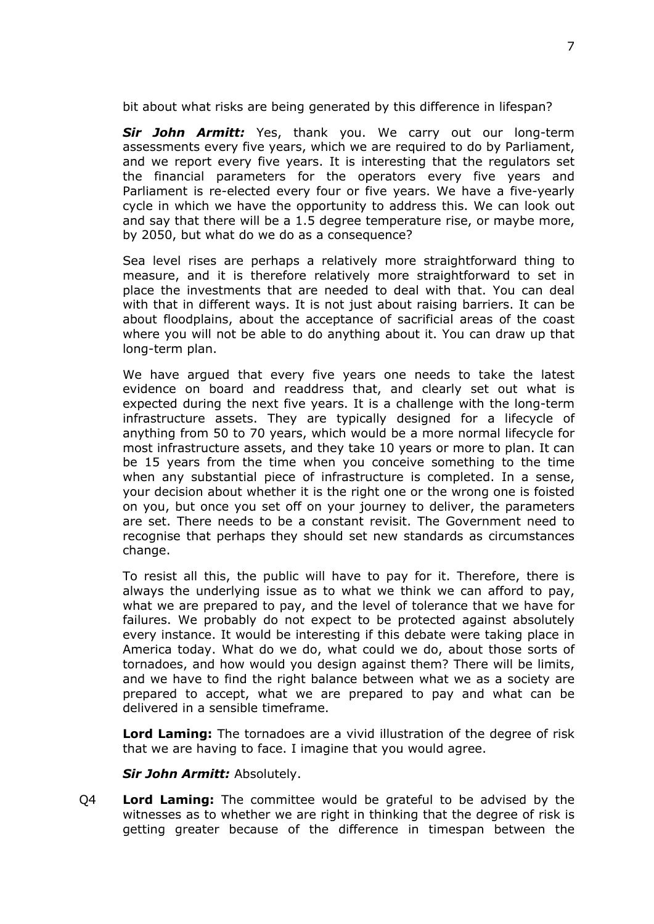bit about what risks are being generated by this difference in lifespan?

*Sir John Armitt:* Yes, thank you. We carry out our long-term assessments every five years, which we are required to do by Parliament, and we report every five years. It is interesting that the regulators set the financial parameters for the operators every five years and Parliament is re-elected every four or five years. We have a five-yearly cycle in which we have the opportunity to address this. We can look out and say that there will be a 1.5 degree temperature rise, or maybe more, by 2050, but what do we do as a consequence?

Sea level rises are perhaps a relatively more straightforward thing to measure, and it is therefore relatively more straightforward to set in place the investments that are needed to deal with that. You can deal with that in different ways. It is not just about raising barriers. It can be about floodplains, about the acceptance of sacrificial areas of the coast where you will not be able to do anything about it. You can draw up that long-term plan.

We have argued that every five years one needs to take the latest evidence on board and readdress that, and clearly set out what is expected during the next five years. It is a challenge with the long-term infrastructure assets. They are typically designed for a lifecycle of anything from 50 to 70 years, which would be a more normal lifecycle for most infrastructure assets, and they take 10 years or more to plan. It can be 15 years from the time when you conceive something to the time when any substantial piece of infrastructure is completed. In a sense, your decision about whether it is the right one or the wrong one is foisted on you, but once you set off on your journey to deliver, the parameters are set. There needs to be a constant revisit. The Government need to recognise that perhaps they should set new standards as circumstances change.

To resist all this, the public will have to pay for it. Therefore, there is always the underlying issue as to what we think we can afford to pay, what we are prepared to pay, and the level of tolerance that we have for failures. We probably do not expect to be protected against absolutely every instance. It would be interesting if this debate were taking place in America today. What do we do, what could we do, about those sorts of tornadoes, and how would you design against them? There will be limits, and we have to find the right balance between what we as a society are prepared to accept, what we are prepared to pay and what can be delivered in a sensible timeframe.

**Lord Laming:** The tornadoes are a vivid illustration of the degree of risk that we are having to face. I imagine that you would agree.

*Sir John Armitt:* Absolutely.

Q4 **Lord Laming:** The committee would be grateful to be advised by the witnesses as to whether we are right in thinking that the degree of risk is getting greater because of the difference in timespan between the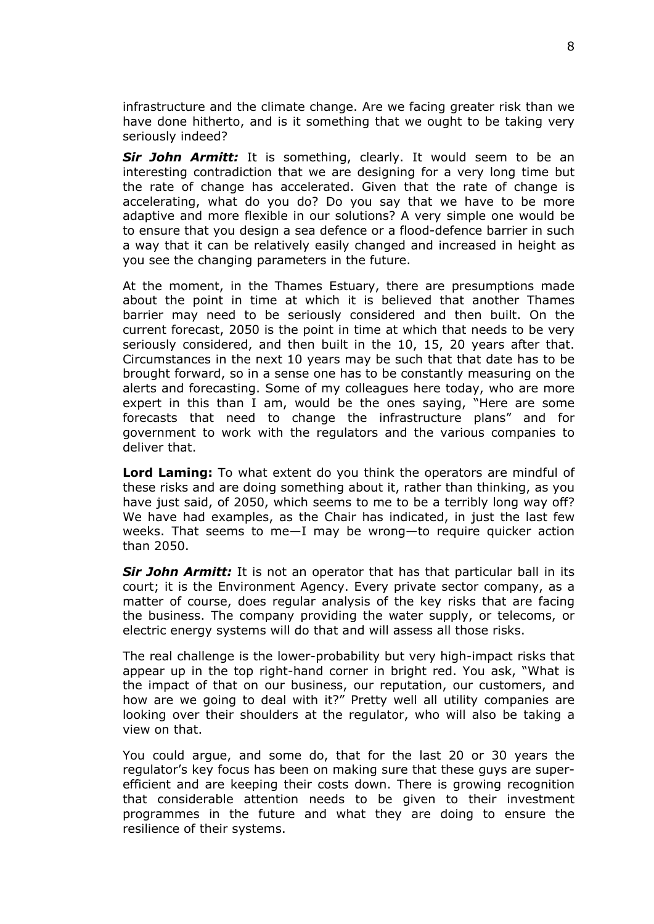infrastructure and the climate change. Are we facing greater risk than we have done hitherto, and is it something that we ought to be taking very seriously indeed?

**Sir John Armitt:** It is something, clearly. It would seem to be an interesting contradiction that we are designing for a very long time but the rate of change has accelerated. Given that the rate of change is accelerating, what do you do? Do you say that we have to be more adaptive and more flexible in our solutions? A very simple one would be to ensure that you design a sea defence or a flood-defence barrier in such a way that it can be relatively easily changed and increased in height as you see the changing parameters in the future.

At the moment, in the Thames Estuary, there are presumptions made about the point in time at which it is believed that another Thames barrier may need to be seriously considered and then built. On the current forecast, 2050 is the point in time at which that needs to be very seriously considered, and then built in the 10, 15, 20 years after that. Circumstances in the next 10 years may be such that that date has to be brought forward, so in a sense one has to be constantly measuring on the alerts and forecasting. Some of my colleagues here today, who are more expert in this than I am, would be the ones saying, "Here are some forecasts that need to change the infrastructure plans" and for government to work with the regulators and the various companies to deliver that.

**Lord Laming:** To what extent do you think the operators are mindful of these risks and are doing something about it, rather than thinking, as you have just said, of 2050, which seems to me to be a terribly long way off? We have had examples, as the Chair has indicated, in just the last few weeks. That seems to me—I may be wrong—to require quicker action than 2050.

*Sir John Armitt:* It is not an operator that has that particular ball in its court; it is the Environment Agency. Every private sector company, as a matter of course, does regular analysis of the key risks that are facing the business. The company providing the water supply, or telecoms, or electric energy systems will do that and will assess all those risks.

The real challenge is the lower-probability but very high-impact risks that appear up in the top right-hand corner in bright red. You ask, "What is the impact of that on our business, our reputation, our customers, and how are we going to deal with it?" Pretty well all utility companies are looking over their shoulders at the regulator, who will also be taking a view on that.

You could argue, and some do, that for the last 20 or 30 years the regulator's key focus has been on making sure that these guys are superefficient and are keeping their costs down. There is growing recognition that considerable attention needs to be given to their investment programmes in the future and what they are doing to ensure the resilience of their systems.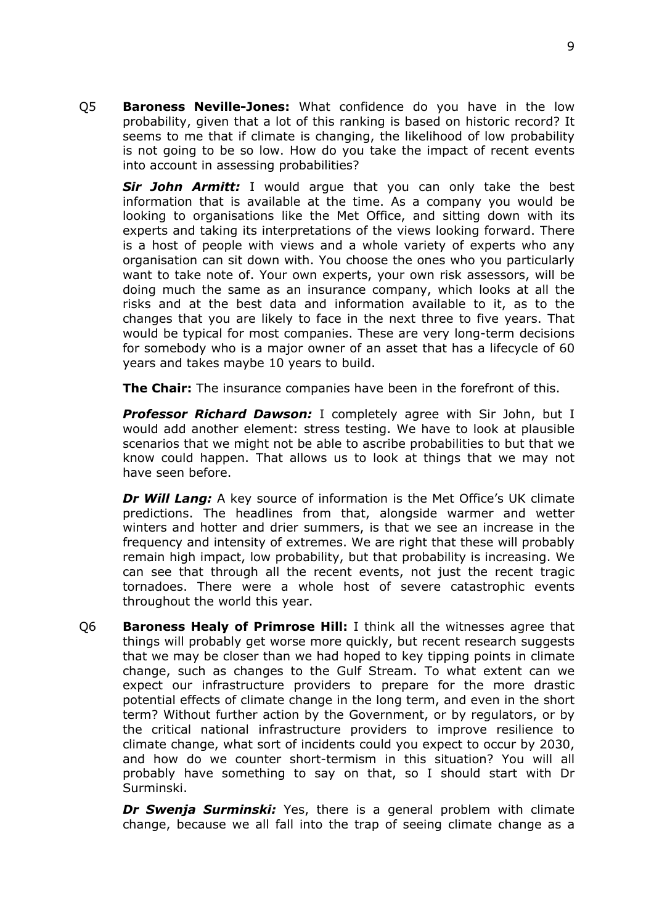Q5 **Baroness Neville-Jones:** What confidence do you have in the low probability, given that a lot of this ranking is based on historic record? It seems to me that if climate is changing, the likelihood of low probability is not going to be so low. How do you take the impact of recent events into account in assessing probabilities?

*Sir John Armitt:* I would argue that you can only take the best information that is available at the time. As a company you would be looking to organisations like the Met Office, and sitting down with its experts and taking its interpretations of the views looking forward. There is a host of people with views and a whole variety of experts who any organisation can sit down with. You choose the ones who you particularly want to take note of. Your own experts, your own risk assessors, will be doing much the same as an insurance company, which looks at all the risks and at the best data and information available to it, as to the changes that you are likely to face in the next three to five years. That would be typical for most companies. These are very long-term decisions for somebody who is a major owner of an asset that has a lifecycle of 60 years and takes maybe 10 years to build.

**The Chair:** The insurance companies have been in the forefront of this.

*Professor Richard Dawson:* I completely agree with Sir John, but I would add another element: stress testing. We have to look at plausible scenarios that we might not be able to ascribe probabilities to but that we know could happen. That allows us to look at things that we may not have seen before.

*Dr Will Lang:* A key source of information is the Met Office's UK climate predictions. The headlines from that, alongside warmer and wetter winters and hotter and drier summers, is that we see an increase in the frequency and intensity of extremes. We are right that these will probably remain high impact, low probability, but that probability is increasing. We can see that through all the recent events, not just the recent tragic tornadoes. There were a whole host of severe catastrophic events throughout the world this year.

Q6 **Baroness Healy of Primrose Hill:** I think all the witnesses agree that things will probably get worse more quickly, but recent research suggests that we may be closer than we had hoped to key tipping points in climate change, such as changes to the Gulf Stream. To what extent can we expect our infrastructure providers to prepare for the more drastic potential effects of climate change in the long term, and even in the short term? Without further action by the Government, or by regulators, or by the critical national infrastructure providers to improve resilience to climate change, what sort of incidents could you expect to occur by 2030, and how do we counter short-termism in this situation? You will all probably have something to say on that, so I should start with Dr Surminski.

*Dr Swenja Surminski:* Yes, there is a general problem with climate change, because we all fall into the trap of seeing climate change as a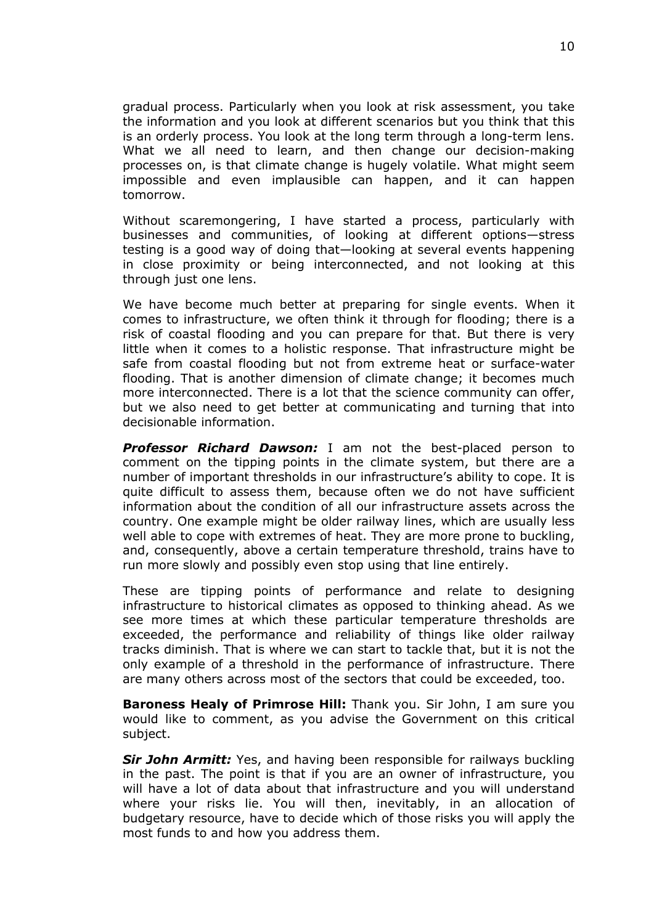gradual process. Particularly when you look at risk assessment, you take the information and you look at different scenarios but you think that this is an orderly process. You look at the long term through a long-term lens. What we all need to learn, and then change our decision-making processes on, is that climate change is hugely volatile. What might seem impossible and even implausible can happen, and it can happen tomorrow.

Without scaremongering, I have started a process, particularly with businesses and communities, of looking at different options—stress testing is a good way of doing that—looking at several events happening in close proximity or being interconnected, and not looking at this through just one lens.

We have become much better at preparing for single events. When it comes to infrastructure, we often think it through for flooding; there is a risk of coastal flooding and you can prepare for that. But there is very little when it comes to a holistic response. That infrastructure might be safe from coastal flooding but not from extreme heat or surface-water flooding. That is another dimension of climate change; it becomes much more interconnected. There is a lot that the science community can offer, but we also need to get better at communicating and turning that into decisionable information.

*Professor Richard Dawson:* I am not the best-placed person to comment on the tipping points in the climate system, but there are a number of important thresholds in our infrastructure's ability to cope. It is quite difficult to assess them, because often we do not have sufficient information about the condition of all our infrastructure assets across the country. One example might be older railway lines, which are usually less well able to cope with extremes of heat. They are more prone to buckling, and, consequently, above a certain temperature threshold, trains have to run more slowly and possibly even stop using that line entirely.

These are tipping points of performance and relate to designing infrastructure to historical climates as opposed to thinking ahead. As we see more times at which these particular temperature thresholds are exceeded, the performance and reliability of things like older railway tracks diminish. That is where we can start to tackle that, but it is not the only example of a threshold in the performance of infrastructure. There are many others across most of the sectors that could be exceeded, too.

**Baroness Healy of Primrose Hill:** Thank you. Sir John, I am sure you would like to comment, as you advise the Government on this critical subject.

*Sir John Armitt:* Yes, and having been responsible for railways buckling in the past. The point is that if you are an owner of infrastructure, you will have a lot of data about that infrastructure and you will understand where your risks lie. You will then, inevitably, in an allocation of budgetary resource, have to decide which of those risks you will apply the most funds to and how you address them.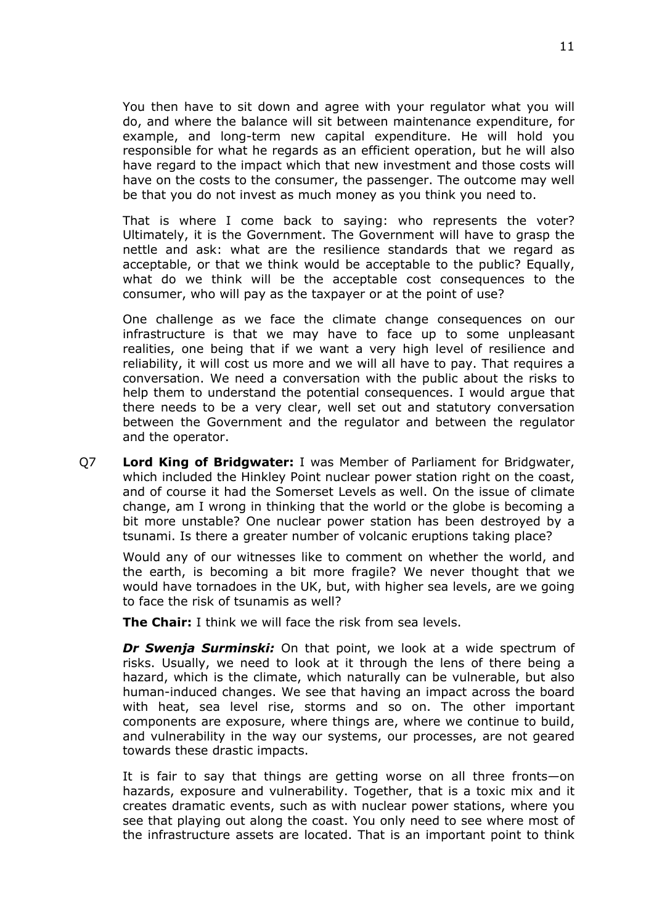You then have to sit down and agree with your regulator what you will do, and where the balance will sit between maintenance expenditure, for example, and long-term new capital expenditure. He will hold you responsible for what he regards as an efficient operation, but he will also have regard to the impact which that new investment and those costs will have on the costs to the consumer, the passenger. The outcome may well be that you do not invest as much money as you think you need to.

That is where I come back to saying: who represents the voter? Ultimately, it is the Government. The Government will have to grasp the nettle and ask: what are the resilience standards that we regard as acceptable, or that we think would be acceptable to the public? Equally, what do we think will be the acceptable cost consequences to the consumer, who will pay as the taxpayer or at the point of use?

One challenge as we face the climate change consequences on our infrastructure is that we may have to face up to some unpleasant realities, one being that if we want a very high level of resilience and reliability, it will cost us more and we will all have to pay. That requires a conversation. We need a conversation with the public about the risks to help them to understand the potential consequences. I would argue that there needs to be a very clear, well set out and statutory conversation between the Government and the regulator and between the regulator and the operator.

Q7 **Lord King of Bridgwater:** I was Member of Parliament for Bridgwater, which included the Hinkley Point nuclear power station right on the coast, and of course it had the Somerset Levels as well. On the issue of climate change, am I wrong in thinking that the world or the globe is becoming a bit more unstable? One nuclear power station has been destroyed by a tsunami. Is there a greater number of volcanic eruptions taking place?

Would any of our witnesses like to comment on whether the world, and the earth, is becoming a bit more fragile? We never thought that we would have tornadoes in the UK, but, with higher sea levels, are we going to face the risk of tsunamis as well?

**The Chair:** I think we will face the risk from sea levels.

*Dr Swenja Surminski:* On that point, we look at a wide spectrum of risks. Usually, we need to look at it through the lens of there being a hazard, which is the climate, which naturally can be vulnerable, but also human-induced changes. We see that having an impact across the board with heat, sea level rise, storms and so on. The other important components are exposure, where things are, where we continue to build, and vulnerability in the way our systems, our processes, are not geared towards these drastic impacts.

It is fair to say that things are getting worse on all three fronts—on hazards, exposure and vulnerability. Together, that is a toxic mix and it creates dramatic events, such as with nuclear power stations, where you see that playing out along the coast. You only need to see where most of the infrastructure assets are located. That is an important point to think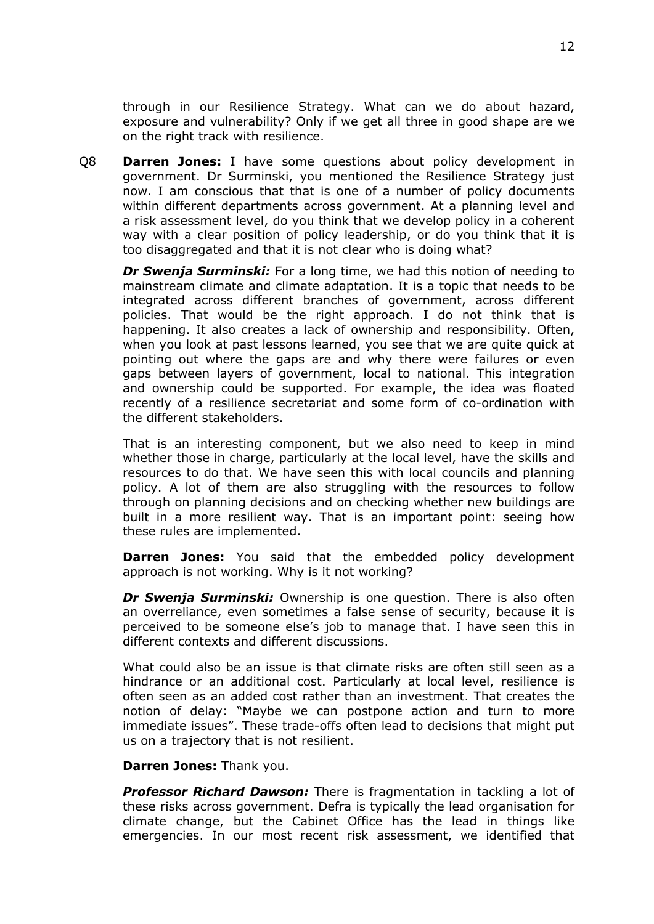through in our Resilience Strategy. What can we do about hazard, exposure and vulnerability? Only if we get all three in good shape are we on the right track with resilience.

Q8 **Darren Jones:** I have some questions about policy development in government. Dr Surminski, you mentioned the Resilience Strategy just now. I am conscious that that is one of a number of policy documents within different departments across government. At a planning level and a risk assessment level, do you think that we develop policy in a coherent way with a clear position of policy leadership, or do you think that it is too disaggregated and that it is not clear who is doing what?

*Dr Swenja Surminski:* For a long time, we had this notion of needing to mainstream climate and climate adaptation. It is a topic that needs to be integrated across different branches of government, across different policies. That would be the right approach. I do not think that is happening. It also creates a lack of ownership and responsibility. Often, when you look at past lessons learned, you see that we are quite quick at pointing out where the gaps are and why there were failures or even gaps between layers of government, local to national. This integration and ownership could be supported. For example, the idea was floated recently of a resilience secretariat and some form of co-ordination with the different stakeholders.

That is an interesting component, but we also need to keep in mind whether those in charge, particularly at the local level, have the skills and resources to do that. We have seen this with local councils and planning policy. A lot of them are also struggling with the resources to follow through on planning decisions and on checking whether new buildings are built in a more resilient way. That is an important point: seeing how these rules are implemented.

**Darren Jones:** You said that the embedded policy development approach is not working. Why is it not working?

*Dr Swenja Surminski:* Ownership is one question. There is also often an overreliance, even sometimes a false sense of security, because it is perceived to be someone else's job to manage that. I have seen this in different contexts and different discussions.

What could also be an issue is that climate risks are often still seen as a hindrance or an additional cost. Particularly at local level, resilience is often seen as an added cost rather than an investment. That creates the notion of delay: "Maybe we can postpone action and turn to more immediate issues". These trade-offs often lead to decisions that might put us on a trajectory that is not resilient.

**Darren Jones:** Thank you.

*Professor Richard Dawson:* There is fragmentation in tackling a lot of these risks across government. Defra is typically the lead organisation for climate change, but the Cabinet Office has the lead in things like emergencies. In our most recent risk assessment, we identified that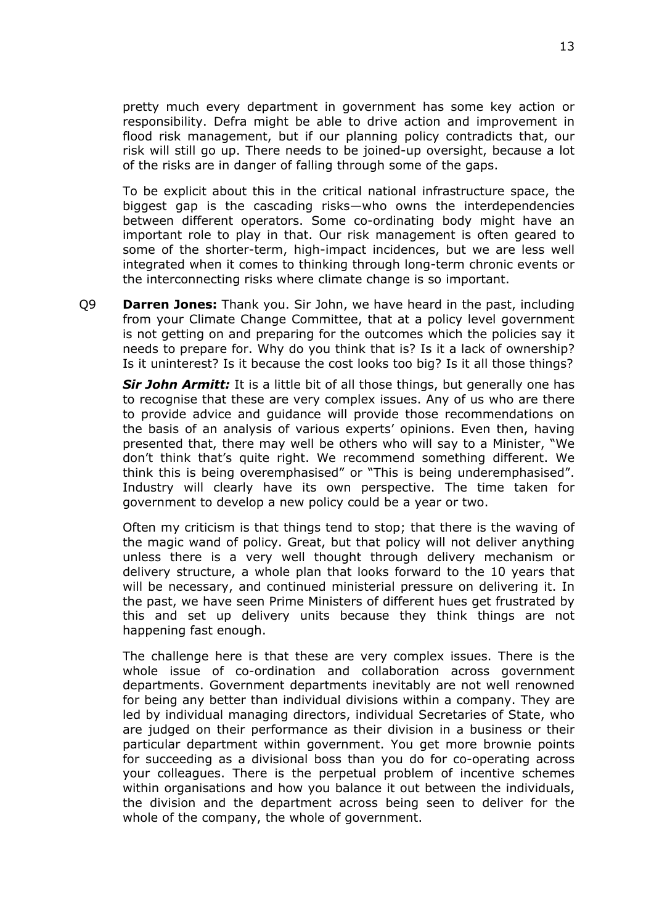pretty much every department in government has some key action or responsibility. Defra might be able to drive action and improvement in flood risk management, but if our planning policy contradicts that, our risk will still go up. There needs to be joined-up oversight, because a lot of the risks are in danger of falling through some of the gaps.

To be explicit about this in the critical national infrastructure space, the biggest gap is the cascading risks—who owns the interdependencies between different operators. Some co-ordinating body might have an important role to play in that. Our risk management is often geared to some of the shorter-term, high-impact incidences, but we are less well integrated when it comes to thinking through long-term chronic events or the interconnecting risks where climate change is so important.

Q9 **Darren Jones:** Thank you. Sir John, we have heard in the past, including from your Climate Change Committee, that at a policy level government is not getting on and preparing for the outcomes which the policies say it needs to prepare for. Why do you think that is? Is it a lack of ownership? Is it uninterest? Is it because the cost looks too big? Is it all those things?

*Sir John Armitt:* It is a little bit of all those things, but generally one has to recognise that these are very complex issues. Any of us who are there to provide advice and guidance will provide those recommendations on the basis of an analysis of various experts' opinions. Even then, having presented that, there may well be others who will say to a Minister, "We don't think that's quite right. We recommend something different. We think this is being overemphasised" or "This is being underemphasised". Industry will clearly have its own perspective. The time taken for government to develop a new policy could be a year or two.

Often my criticism is that things tend to stop; that there is the waving of the magic wand of policy. Great, but that policy will not deliver anything unless there is a very well thought through delivery mechanism or delivery structure, a whole plan that looks forward to the 10 years that will be necessary, and continued ministerial pressure on delivering it. In the past, we have seen Prime Ministers of different hues get frustrated by this and set up delivery units because they think things are not happening fast enough.

The challenge here is that these are very complex issues. There is the whole issue of co-ordination and collaboration across government departments. Government departments inevitably are not well renowned for being any better than individual divisions within a company. They are led by individual managing directors, individual Secretaries of State, who are judged on their performance as their division in a business or their particular department within government. You get more brownie points for succeeding as a divisional boss than you do for co-operating across your colleagues. There is the perpetual problem of incentive schemes within organisations and how you balance it out between the individuals, the division and the department across being seen to deliver for the whole of the company, the whole of government.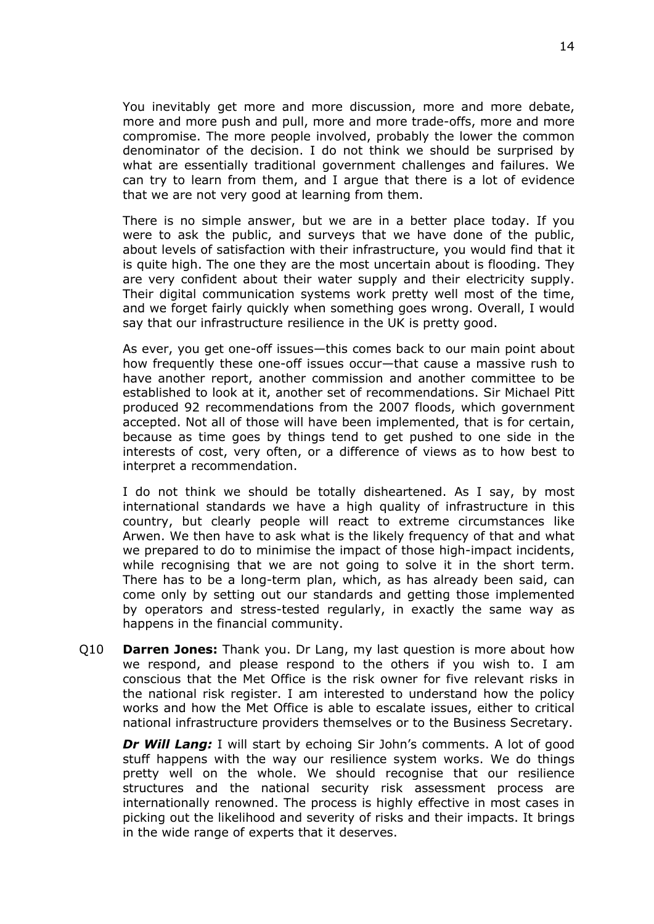You inevitably get more and more discussion, more and more debate, more and more push and pull, more and more trade-offs, more and more compromise. The more people involved, probably the lower the common denominator of the decision. I do not think we should be surprised by what are essentially traditional government challenges and failures. We can try to learn from them, and I argue that there is a lot of evidence that we are not very good at learning from them.

There is no simple answer, but we are in a better place today. If you were to ask the public, and surveys that we have done of the public, about levels of satisfaction with their infrastructure, you would find that it is quite high. The one they are the most uncertain about is flooding. They are very confident about their water supply and their electricity supply. Their digital communication systems work pretty well most of the time, and we forget fairly quickly when something goes wrong. Overall, I would say that our infrastructure resilience in the UK is pretty good.

As ever, you get one-off issues—this comes back to our main point about how frequently these one-off issues occur—that cause a massive rush to have another report, another commission and another committee to be established to look at it, another set of recommendations. Sir Michael Pitt produced 92 recommendations from the 2007 floods, which government accepted. Not all of those will have been implemented, that is for certain, because as time goes by things tend to get pushed to one side in the interests of cost, very often, or a difference of views as to how best to interpret a recommendation.

I do not think we should be totally disheartened. As I say, by most international standards we have a high quality of infrastructure in this country, but clearly people will react to extreme circumstances like Arwen. We then have to ask what is the likely frequency of that and what we prepared to do to minimise the impact of those high-impact incidents, while recognising that we are not going to solve it in the short term. There has to be a long-term plan, which, as has already been said, can come only by setting out our standards and getting those implemented by operators and stress-tested regularly, in exactly the same way as happens in the financial community.

Q10 **Darren Jones:** Thank you. Dr Lang, my last question is more about how we respond, and please respond to the others if you wish to. I am conscious that the Met Office is the risk owner for five relevant risks in the national risk register. I am interested to understand how the policy works and how the Met Office is able to escalate issues, either to critical national infrastructure providers themselves or to the Business Secretary.

*Dr Will Lang:* I will start by echoing Sir John's comments. A lot of good stuff happens with the way our resilience system works. We do things pretty well on the whole. We should recognise that our resilience structures and the national security risk assessment process are internationally renowned. The process is highly effective in most cases in picking out the likelihood and severity of risks and their impacts. It brings in the wide range of experts that it deserves.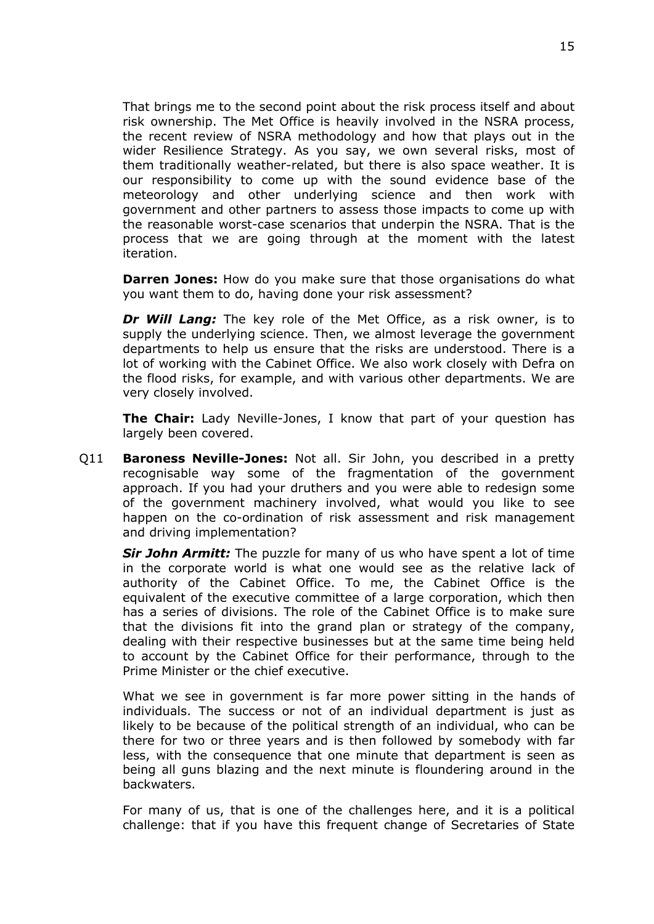That brings me to the second point about the risk process itself and about risk ownership. The Met Office is heavily involved in the NSRA process, the recent review of NSRA methodology and how that plays out in the wider Resilience Strategy. As you say, we own several risks, most of them traditionally weather-related, but there is also space weather. It is our responsibility to come up with the sound evidence base of the meteorology and other underlying science and then work with government and other partners to assess those impacts to come up with the reasonable worst-case scenarios that underpin the NSRA. That is the process that we are going through at the moment with the latest iteration.

**Darren Jones:** How do you make sure that those organisations do what you want them to do, having done your risk assessment?

*Dr Will Lang:* The key role of the Met Office, as a risk owner, is to supply the underlying science. Then, we almost leverage the government departments to help us ensure that the risks are understood. There is a lot of working with the Cabinet Office. We also work closely with Defra on the flood risks, for example, and with various other departments. We are very closely involved.

**The Chair:** Lady Neville-Jones, I know that part of your question has largely been covered.

Q11 **Baroness Neville-Jones:** Not all. Sir John, you described in a pretty recognisable way some of the fragmentation of the government approach. If you had your druthers and you were able to redesign some of the government machinery involved, what would you like to see happen on the co-ordination of risk assessment and risk management and driving implementation?

*Sir John Armitt:* The puzzle for many of us who have spent a lot of time in the corporate world is what one would see as the relative lack of authority of the Cabinet Office. To me, the Cabinet Office is the equivalent of the executive committee of a large corporation, which then has a series of divisions. The role of the Cabinet Office is to make sure that the divisions fit into the grand plan or strategy of the company, dealing with their respective businesses but at the same time being held to account by the Cabinet Office for their performance, through to the Prime Minister or the chief executive.

What we see in government is far more power sitting in the hands of individuals. The success or not of an individual department is just as likely to be because of the political strength of an individual, who can be there for two or three years and is then followed by somebody with far less, with the consequence that one minute that department is seen as being all guns blazing and the next minute is floundering around in the backwaters.

For many of us, that is one of the challenges here, and it is a political challenge: that if you have this frequent change of Secretaries of State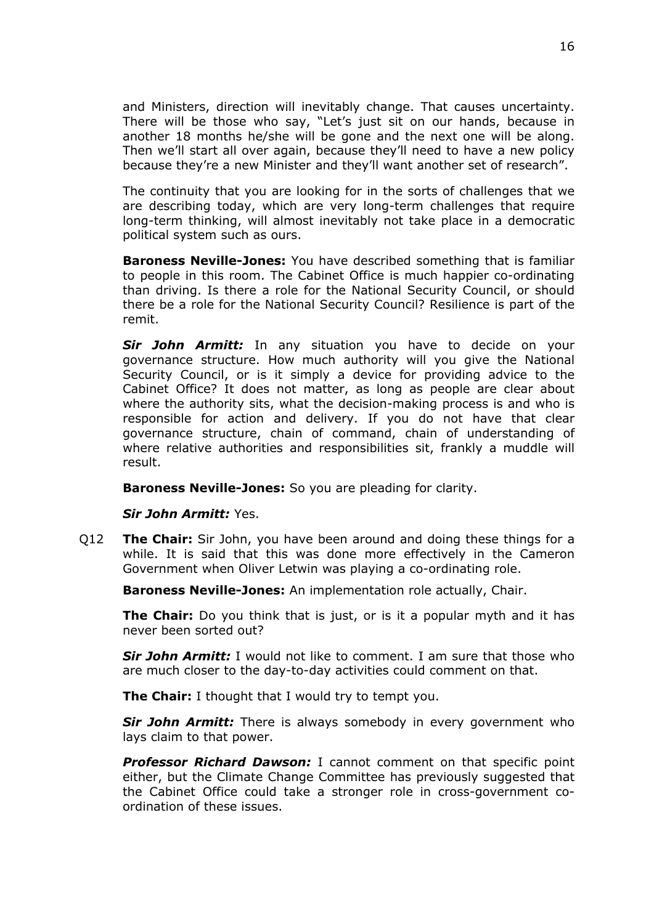and Ministers, direction will inevitably change. That causes uncertainty. There will be those who say, "Let's just sit on our hands, because in another 18 months he/she will be gone and the next one will be along. Then we'll start all over again, because they'll need to have a new policy because they're a new Minister and they'll want another set of research".

The continuity that you are looking for in the sorts of challenges that we are describing today, which are very long-term challenges that require long-term thinking, will almost inevitably not take place in a democratic political system such as ours.

**Baroness Neville-Jones:** You have described something that is familiar to people in this room. The Cabinet Office is much happier co-ordinating than driving. Is there a role for the National Security Council, or should there be a role for the National Security Council? Resilience is part of the remit.

*Sir John Armitt:* In any situation you have to decide on your governance structure. How much authority will you give the National Security Council, or is it simply a device for providing advice to the Cabinet Office? It does not matter, as long as people are clear about where the authority sits, what the decision-making process is and who is responsible for action and delivery. If you do not have that clear governance structure, chain of command, chain of understanding of where relative authorities and responsibilities sit, frankly a muddle will result.

**Baroness Neville-Jones:** So you are pleading for clarity.

#### *Sir John Armitt:* Yes.

Q12 **The Chair:** Sir John, you have been around and doing these things for a while. It is said that this was done more effectively in the Cameron Government when Oliver Letwin was playing a co-ordinating role.

**Baroness Neville-Jones:** An implementation role actually, Chair.

**The Chair:** Do you think that is just, or is it a popular myth and it has never been sorted out?

*Sir John Armitt:* I would not like to comment. I am sure that those who are much closer to the day-to-day activities could comment on that.

**The Chair:** I thought that I would try to tempt you.

*Sir John Armitt:* There is always somebody in every government who lays claim to that power.

*Professor Richard Dawson:* I cannot comment on that specific point either, but the Climate Change Committee has previously suggested that the Cabinet Office could take a stronger role in cross-government coordination of these issues.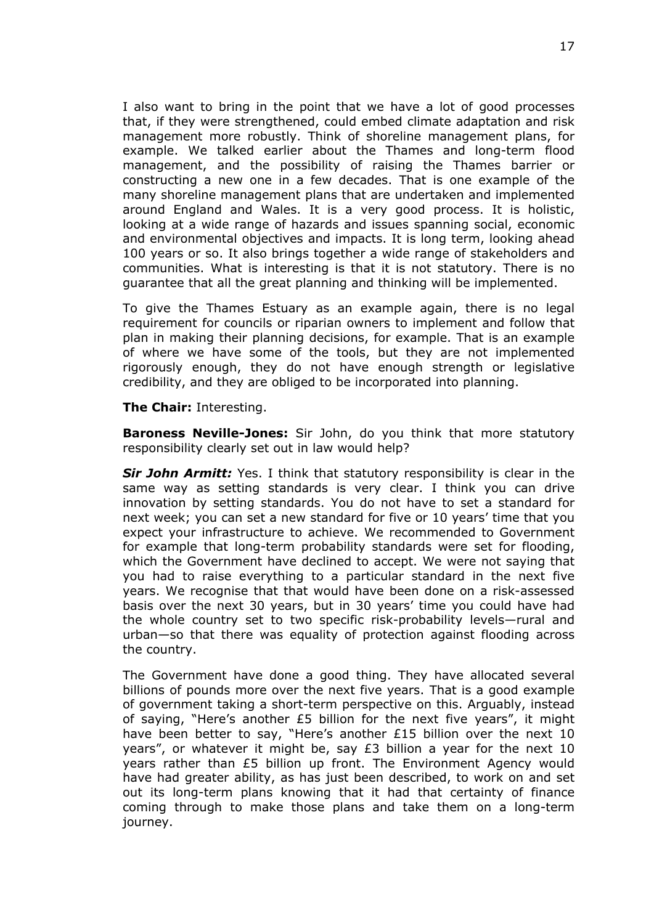I also want to bring in the point that we have a lot of good processes that, if they were strengthened, could embed climate adaptation and risk management more robustly. Think of shoreline management plans, for example. We talked earlier about the Thames and long-term flood management, and the possibility of raising the Thames barrier or constructing a new one in a few decades. That is one example of the many shoreline management plans that are undertaken and implemented around England and Wales. It is a very good process. It is holistic, looking at a wide range of hazards and issues spanning social, economic and environmental objectives and impacts. It is long term, looking ahead 100 years or so. It also brings together a wide range of stakeholders and communities. What is interesting is that it is not statutory. There is no guarantee that all the great planning and thinking will be implemented.

To give the Thames Estuary as an example again, there is no legal requirement for councils or riparian owners to implement and follow that plan in making their planning decisions, for example. That is an example of where we have some of the tools, but they are not implemented rigorously enough, they do not have enough strength or legislative credibility, and they are obliged to be incorporated into planning.

**The Chair:** Interesting.

**Baroness Neville-Jones:** Sir John, do you think that more statutory responsibility clearly set out in law would help?

*Sir John Armitt:* Yes. I think that statutory responsibility is clear in the same way as setting standards is very clear. I think you can drive innovation by setting standards. You do not have to set a standard for next week; you can set a new standard for five or 10 years' time that you expect your infrastructure to achieve. We recommended to Government for example that long-term probability standards were set for flooding, which the Government have declined to accept. We were not saying that you had to raise everything to a particular standard in the next five years. We recognise that that would have been done on a risk-assessed basis over the next 30 years, but in 30 years' time you could have had the whole country set to two specific risk-probability levels—rural and urban—so that there was equality of protection against flooding across the country.

The Government have done a good thing. They have allocated several billions of pounds more over the next five years. That is a good example of government taking a short-term perspective on this. Arguably, instead of saying, "Here's another £5 billion for the next five years", it might have been better to say, "Here's another £15 billion over the next 10 years", or whatever it might be, say £3 billion a year for the next 10 years rather than £5 billion up front. The Environment Agency would have had greater ability, as has just been described, to work on and set out its long-term plans knowing that it had that certainty of finance coming through to make those plans and take them on a long-term journey.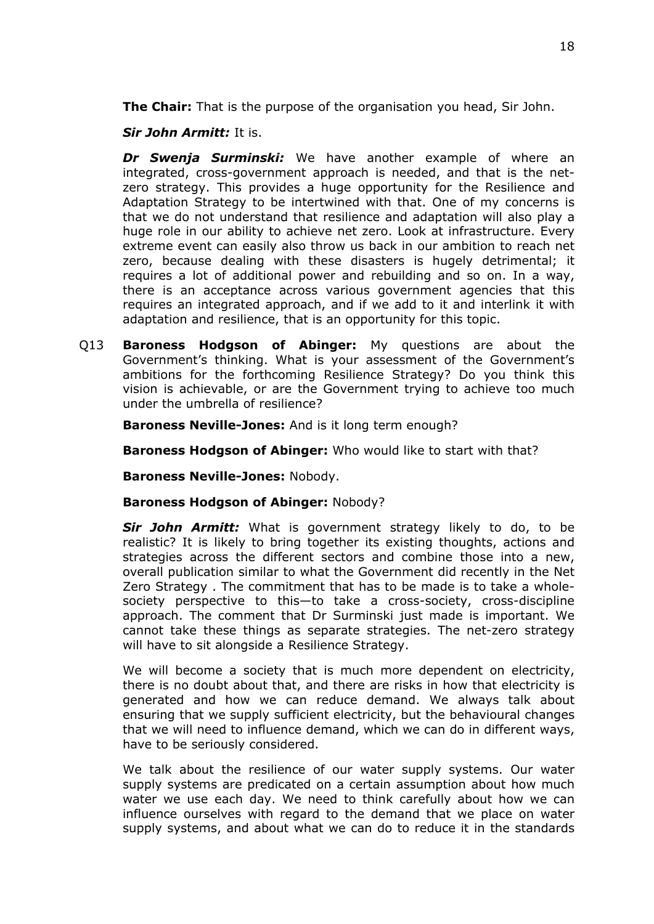**The Chair:** That is the purpose of the organisation you head, Sir John.

*Sir John Armitt:* It is.

*Dr Swenja Surminski:* We have another example of where an integrated, cross-government approach is needed, and that is the netzero strategy. This provides a huge opportunity for the Resilience and Adaptation Strategy to be intertwined with that. One of my concerns is that we do not understand that resilience and adaptation will also play a huge role in our ability to achieve net zero. Look at infrastructure. Every extreme event can easily also throw us back in our ambition to reach net zero, because dealing with these disasters is hugely detrimental; it requires a lot of additional power and rebuilding and so on. In a way, there is an acceptance across various government agencies that this requires an integrated approach, and if we add to it and interlink it with adaptation and resilience, that is an opportunity for this topic.

Q13 **Baroness Hodgson of Abinger:** My questions are about the Government's thinking. What is your assessment of the Government's ambitions for the forthcoming Resilience Strategy? Do you think this vision is achievable, or are the Government trying to achieve too much under the umbrella of resilience?

**Baroness Neville-Jones:** And is it long term enough?

**Baroness Hodgson of Abinger:** Who would like to start with that?

**Baroness Neville-Jones:** Nobody.

**Baroness Hodgson of Abinger:** Nobody?

*Sir John Armitt:* What is government strategy likely to do, to be realistic? It is likely to bring together its existing thoughts, actions and strategies across the different sectors and combine those into a new, overall publication similar to what the Government did recently in the Net Zero Strategy . The commitment that has to be made is to take a wholesociety perspective to this—to take a cross-society, cross-discipline approach. The comment that Dr Surminski just made is important. We cannot take these things as separate strategies. The net-zero strategy will have to sit alongside a Resilience Strategy.

We will become a society that is much more dependent on electricity, there is no doubt about that, and there are risks in how that electricity is generated and how we can reduce demand. We always talk about ensuring that we supply sufficient electricity, but the behavioural changes that we will need to influence demand, which we can do in different ways, have to be seriously considered.

We talk about the resilience of our water supply systems. Our water supply systems are predicated on a certain assumption about how much water we use each day. We need to think carefully about how we can influence ourselves with regard to the demand that we place on water supply systems, and about what we can do to reduce it in the standards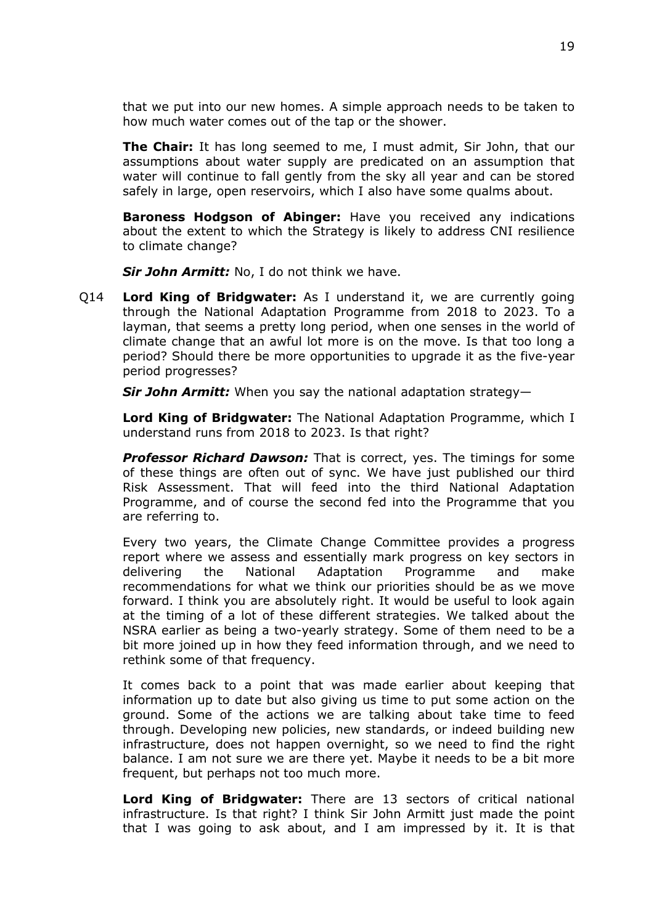that we put into our new homes. A simple approach needs to be taken to how much water comes out of the tap or the shower.

**The Chair:** It has long seemed to me, I must admit, Sir John, that our assumptions about water supply are predicated on an assumption that water will continue to fall gently from the sky all year and can be stored safely in large, open reservoirs, which I also have some qualms about.

**Baroness Hodgson of Abinger:** Have you received any indications about the extent to which the Strategy is likely to address CNI resilience to climate change?

*Sir John Armitt:* No, I do not think we have.

Q14 **Lord King of Bridgwater:** As I understand it, we are currently going through the National Adaptation Programme from 2018 to 2023. To a layman, that seems a pretty long period, when one senses in the world of climate change that an awful lot more is on the move. Is that too long a period? Should there be more opportunities to upgrade it as the five-year period progresses?

*Sir John Armitt:* When you say the national adaptation strategy—

**Lord King of Bridgwater:** The National Adaptation Programme, which I understand runs from 2018 to 2023. Is that right?

*Professor Richard Dawson:* That is correct, yes. The timings for some of these things are often out of sync. We have just published our third Risk Assessment. That will feed into the third National Adaptation Programme, and of course the second fed into the Programme that you are referring to.

Every two years, the Climate Change Committee provides a progress report where we assess and essentially mark progress on key sectors in delivering the National Adaptation Programme and make recommendations for what we think our priorities should be as we move forward. I think you are absolutely right. It would be useful to look again at the timing of a lot of these different strategies. We talked about the NSRA earlier as being a two-yearly strategy. Some of them need to be a bit more joined up in how they feed information through, and we need to rethink some of that frequency.

It comes back to a point that was made earlier about keeping that information up to date but also giving us time to put some action on the ground. Some of the actions we are talking about take time to feed through. Developing new policies, new standards, or indeed building new infrastructure, does not happen overnight, so we need to find the right balance. I am not sure we are there yet. Maybe it needs to be a bit more frequent, but perhaps not too much more.

**Lord King of Bridgwater:** There are 13 sectors of critical national infrastructure. Is that right? I think Sir John Armitt just made the point that I was going to ask about, and I am impressed by it. It is that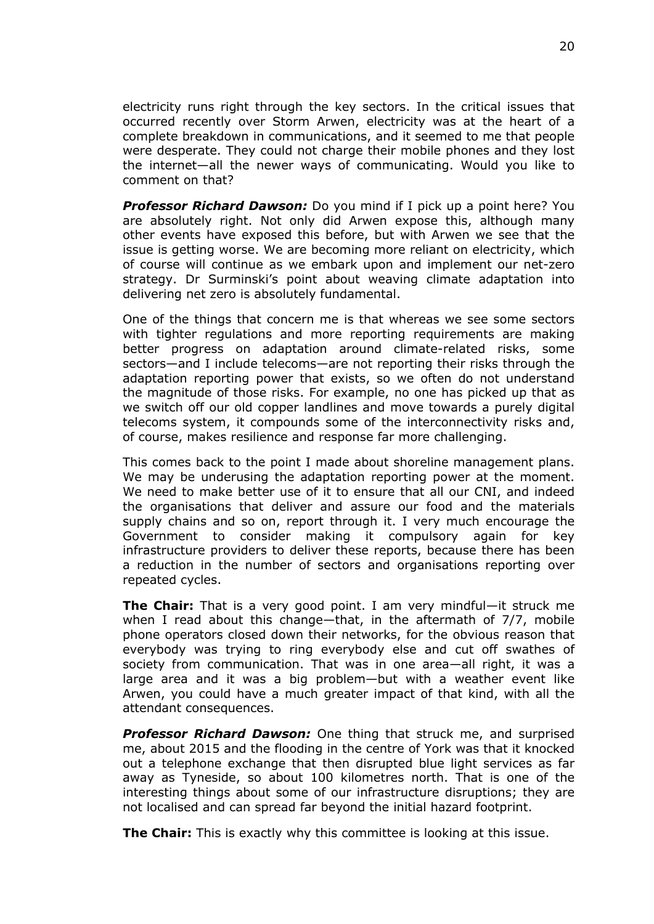electricity runs right through the key sectors. In the critical issues that occurred recently over Storm Arwen, electricity was at the heart of a complete breakdown in communications, and it seemed to me that people were desperate. They could not charge their mobile phones and they lost the internet—all the newer ways of communicating. Would you like to comment on that?

*Professor Richard Dawson:* Do you mind if I pick up a point here? You are absolutely right. Not only did Arwen expose this, although many other events have exposed this before, but with Arwen we see that the issue is getting worse. We are becoming more reliant on electricity, which of course will continue as we embark upon and implement our net-zero strategy. Dr Surminski's point about weaving climate adaptation into delivering net zero is absolutely fundamental.

One of the things that concern me is that whereas we see some sectors with tighter regulations and more reporting requirements are making better progress on adaptation around climate-related risks, some sectors—and I include telecoms—are not reporting their risks through the adaptation reporting power that exists, so we often do not understand the magnitude of those risks. For example, no one has picked up that as we switch off our old copper landlines and move towards a purely digital telecoms system, it compounds some of the interconnectivity risks and, of course, makes resilience and response far more challenging.

This comes back to the point I made about shoreline management plans. We may be underusing the adaptation reporting power at the moment. We need to make better use of it to ensure that all our CNI, and indeed the organisations that deliver and assure our food and the materials supply chains and so on, report through it. I very much encourage the Government to consider making it compulsory again for key infrastructure providers to deliver these reports, because there has been a reduction in the number of sectors and organisations reporting over repeated cycles.

**The Chair:** That is a very good point. I am very mindful—it struck me when I read about this change—that, in the aftermath of 7/7, mobile phone operators closed down their networks, for the obvious reason that everybody was trying to ring everybody else and cut off swathes of society from communication. That was in one area—all right, it was a large area and it was a big problem—but with a weather event like Arwen, you could have a much greater impact of that kind, with all the attendant consequences.

*Professor Richard Dawson:* One thing that struck me, and surprised me, about 2015 and the flooding in the centre of York was that it knocked out a telephone exchange that then disrupted blue light services as far away as Tyneside, so about 100 kilometres north. That is one of the interesting things about some of our infrastructure disruptions; they are not localised and can spread far beyond the initial hazard footprint.

**The Chair:** This is exactly why this committee is looking at this issue.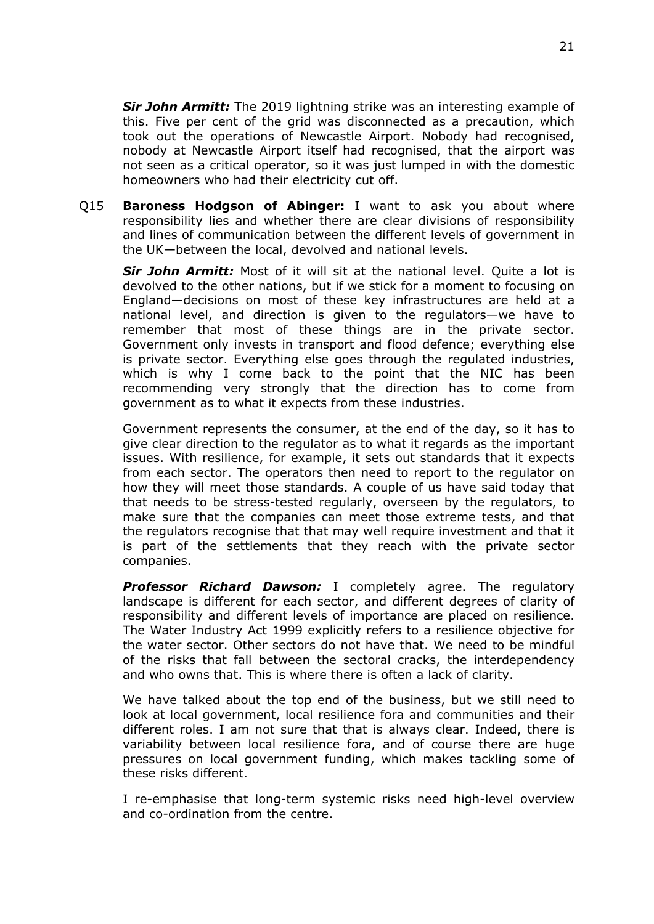*Sir John Armitt:* The 2019 lightning strike was an interesting example of this. Five per cent of the grid was disconnected as a precaution, which took out the operations of Newcastle Airport. Nobody had recognised, nobody at Newcastle Airport itself had recognised, that the airport was not seen as a critical operator, so it was just lumped in with the domestic homeowners who had their electricity cut off.

Q15 **Baroness Hodgson of Abinger:** I want to ask you about where responsibility lies and whether there are clear divisions of responsibility and lines of communication between the different levels of government in the UK—between the local, devolved and national levels.

*Sir John Armitt:* Most of it will sit at the national level. Quite a lot is devolved to the other nations, but if we stick for a moment to focusing on England—decisions on most of these key infrastructures are held at a national level, and direction is given to the regulators—we have to remember that most of these things are in the private sector. Government only invests in transport and flood defence; everything else is private sector. Everything else goes through the regulated industries, which is why I come back to the point that the NIC has been recommending very strongly that the direction has to come from government as to what it expects from these industries.

Government represents the consumer, at the end of the day, so it has to give clear direction to the regulator as to what it regards as the important issues. With resilience, for example, it sets out standards that it expects from each sector. The operators then need to report to the regulator on how they will meet those standards. A couple of us have said today that that needs to be stress-tested regularly, overseen by the regulators, to make sure that the companies can meet those extreme tests, and that the regulators recognise that that may well require investment and that it is part of the settlements that they reach with the private sector companies.

*Professor Richard Dawson:* I completely agree. The regulatory landscape is different for each sector, and different degrees of clarity of responsibility and different levels of importance are placed on resilience. The Water Industry Act 1999 explicitly refers to a resilience objective for the water sector. Other sectors do not have that. We need to be mindful of the risks that fall between the sectoral cracks, the interdependency and who owns that. This is where there is often a lack of clarity.

We have talked about the top end of the business, but we still need to look at local government, local resilience fora and communities and their different roles. I am not sure that that is always clear. Indeed, there is variability between local resilience fora, and of course there are huge pressures on local government funding, which makes tackling some of these risks different.

I re-emphasise that long-term systemic risks need high-level overview and co-ordination from the centre.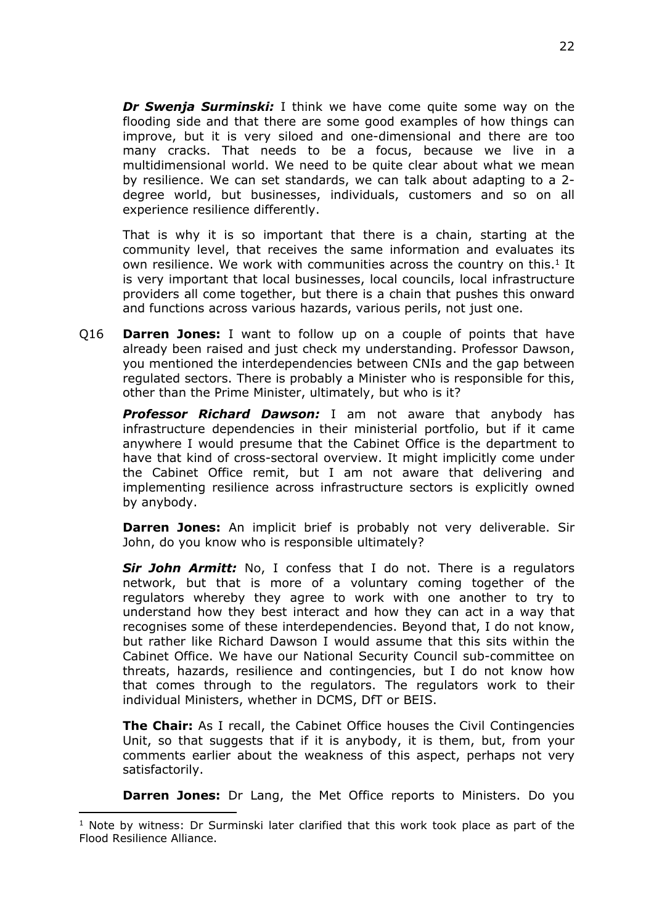*Dr Swenja Surminski:* I think we have come quite some way on the flooding side and that there are some good examples of how things can improve, but it is very siloed and one-dimensional and there are too many cracks. That needs to be a focus, because we live in a multidimensional world. We need to be quite clear about what we mean by resilience. We can set standards, we can talk about adapting to a 2 degree world, but businesses, individuals, customers and so on all experience resilience differently.

That is why it is so important that there is a chain, starting at the community level, that receives the same information and evaluates its own resilience. We work with communities across the country on this.<sup>1</sup> It is very important that local businesses, local councils, local infrastructure providers all come together, but there is a chain that pushes this onward and functions across various hazards, various perils, not just one.

Q16 **Darren Jones:** I want to follow up on a couple of points that have already been raised and just check my understanding. Professor Dawson, you mentioned the interdependencies between CNIs and the gap between regulated sectors. There is probably a Minister who is responsible for this, other than the Prime Minister, ultimately, but who is it?

*Professor Richard Dawson:* I am not aware that anybody has infrastructure dependencies in their ministerial portfolio, but if it came anywhere I would presume that the Cabinet Office is the department to have that kind of cross-sectoral overview. It might implicitly come under the Cabinet Office remit, but I am not aware that delivering and implementing resilience across infrastructure sectors is explicitly owned by anybody.

**Darren Jones:** An implicit brief is probably not very deliverable. Sir John, do you know who is responsible ultimately?

*Sir John Armitt:* No, I confess that I do not. There is a regulators network, but that is more of a voluntary coming together of the regulators whereby they agree to work with one another to try to understand how they best interact and how they can act in a way that recognises some of these interdependencies. Beyond that, I do not know, but rather like Richard Dawson I would assume that this sits within the Cabinet Office. We have our National Security Council sub-committee on threats, hazards, resilience and contingencies, but I do not know how that comes through to the regulators. The regulators work to their individual Ministers, whether in DCMS, DfT or BEIS.

**The Chair:** As I recall, the Cabinet Office houses the Civil Contingencies Unit, so that suggests that if it is anybody, it is them, but, from your comments earlier about the weakness of this aspect, perhaps not very satisfactorily.

**Darren Jones:** Dr Lang, the Met Office reports to Ministers. Do you

<sup>1</sup> Note by witness: Dr Surminski later clarified that this work took place as part of the Flood Resilience Alliance.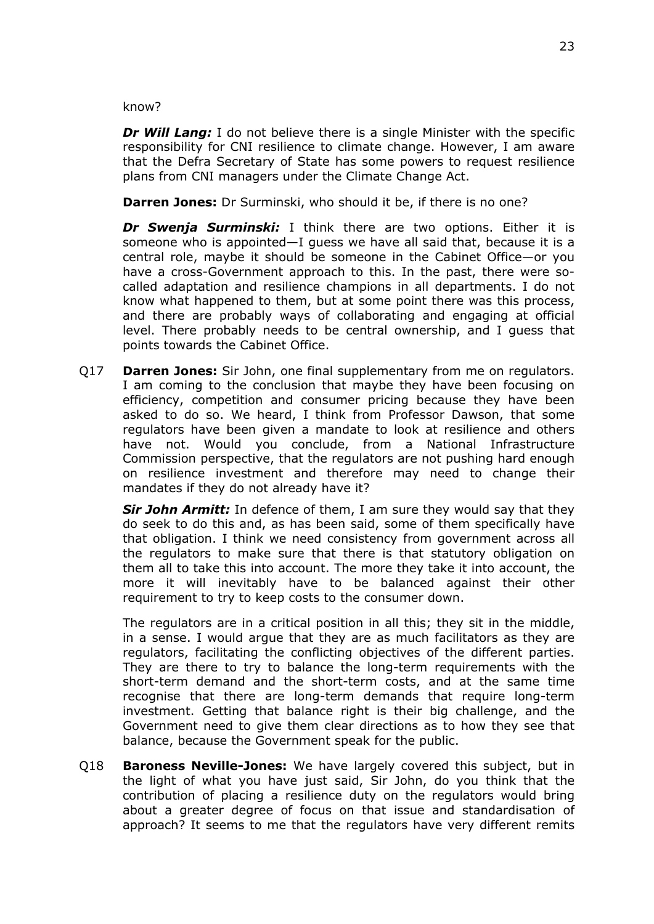know?

*Dr Will Lang:* I do not believe there is a single Minister with the specific responsibility for CNI resilience to climate change. However, I am aware that the Defra Secretary of State has some powers to request resilience plans from CNI managers under the Climate Change Act.

**Darren Jones:** Dr Surminski, who should it be, if there is no one?

*Dr Swenja Surminski:* I think there are two options. Either it is someone who is appointed—I guess we have all said that, because it is a central role, maybe it should be someone in the Cabinet Office—or you have a cross-Government approach to this. In the past, there were socalled adaptation and resilience champions in all departments. I do not know what happened to them, but at some point there was this process, and there are probably ways of collaborating and engaging at official level. There probably needs to be central ownership, and I guess that points towards the Cabinet Office.

Q17 **Darren Jones:** Sir John, one final supplementary from me on regulators. I am coming to the conclusion that maybe they have been focusing on efficiency, competition and consumer pricing because they have been asked to do so. We heard, I think from Professor Dawson, that some regulators have been given a mandate to look at resilience and others have not. Would you conclude, from a National Infrastructure Commission perspective, that the regulators are not pushing hard enough on resilience investment and therefore may need to change their mandates if they do not already have it?

*Sir John Armitt:* In defence of them, I am sure they would say that they do seek to do this and, as has been said, some of them specifically have that obligation. I think we need consistency from government across all the regulators to make sure that there is that statutory obligation on them all to take this into account. The more they take it into account, the more it will inevitably have to be balanced against their other requirement to try to keep costs to the consumer down.

The regulators are in a critical position in all this; they sit in the middle, in a sense. I would argue that they are as much facilitators as they are regulators, facilitating the conflicting objectives of the different parties. They are there to try to balance the long-term requirements with the short-term demand and the short-term costs, and at the same time recognise that there are long-term demands that require long-term investment. Getting that balance right is their big challenge, and the Government need to give them clear directions as to how they see that balance, because the Government speak for the public.

Q18 **Baroness Neville-Jones:** We have largely covered this subject, but in the light of what you have just said, Sir John, do you think that the contribution of placing a resilience duty on the regulators would bring about a greater degree of focus on that issue and standardisation of approach? It seems to me that the regulators have very different remits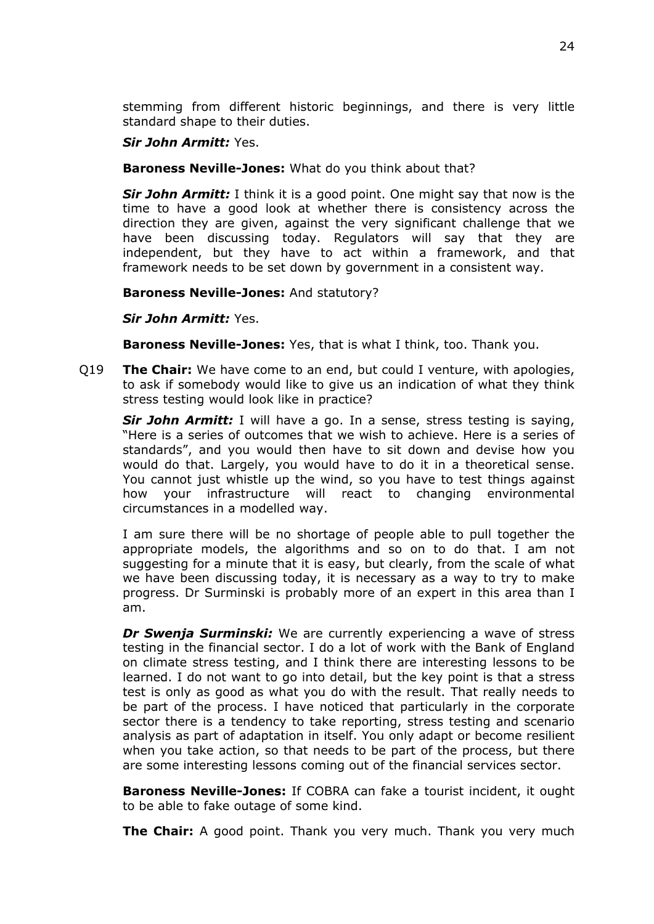stemming from different historic beginnings, and there is very little standard shape to their duties.

# *Sir John Armitt:* Yes.

# **Baroness Neville-Jones:** What do you think about that?

*Sir John Armitt:* I think it is a good point. One might say that now is the time to have a good look at whether there is consistency across the direction they are given, against the very significant challenge that we have been discussing today. Regulators will say that they are independent, but they have to act within a framework, and that framework needs to be set down by government in a consistent way.

# **Baroness Neville-Jones:** And statutory?

*Sir John Armitt:* Yes.

**Baroness Neville-Jones:** Yes, that is what I think, too. Thank you.

Q19 **The Chair:** We have come to an end, but could I venture, with apologies, to ask if somebody would like to give us an indication of what they think stress testing would look like in practice?

*Sir John Armitt:* I will have a go. In a sense, stress testing is saying, "Here is a series of outcomes that we wish to achieve. Here is a series of standards", and you would then have to sit down and devise how you would do that. Largely, you would have to do it in a theoretical sense. You cannot just whistle up the wind, so you have to test things against how your infrastructure will react to changing environmental circumstances in a modelled way.

I am sure there will be no shortage of people able to pull together the appropriate models, the algorithms and so on to do that. I am not suggesting for a minute that it is easy, but clearly, from the scale of what we have been discussing today, it is necessary as a way to try to make progress. Dr Surminski is probably more of an expert in this area than I am.

*Dr Swenja Surminski:* We are currently experiencing a wave of stress testing in the financial sector. I do a lot of work with the Bank of England on climate stress testing, and I think there are interesting lessons to be learned. I do not want to go into detail, but the key point is that a stress test is only as good as what you do with the result. That really needs to be part of the process. I have noticed that particularly in the corporate sector there is a tendency to take reporting, stress testing and scenario analysis as part of adaptation in itself. You only adapt or become resilient when you take action, so that needs to be part of the process, but there are some interesting lessons coming out of the financial services sector.

**Baroness Neville-Jones:** If COBRA can fake a tourist incident, it ought to be able to fake outage of some kind.

**The Chair:** A good point. Thank you very much. Thank you very much